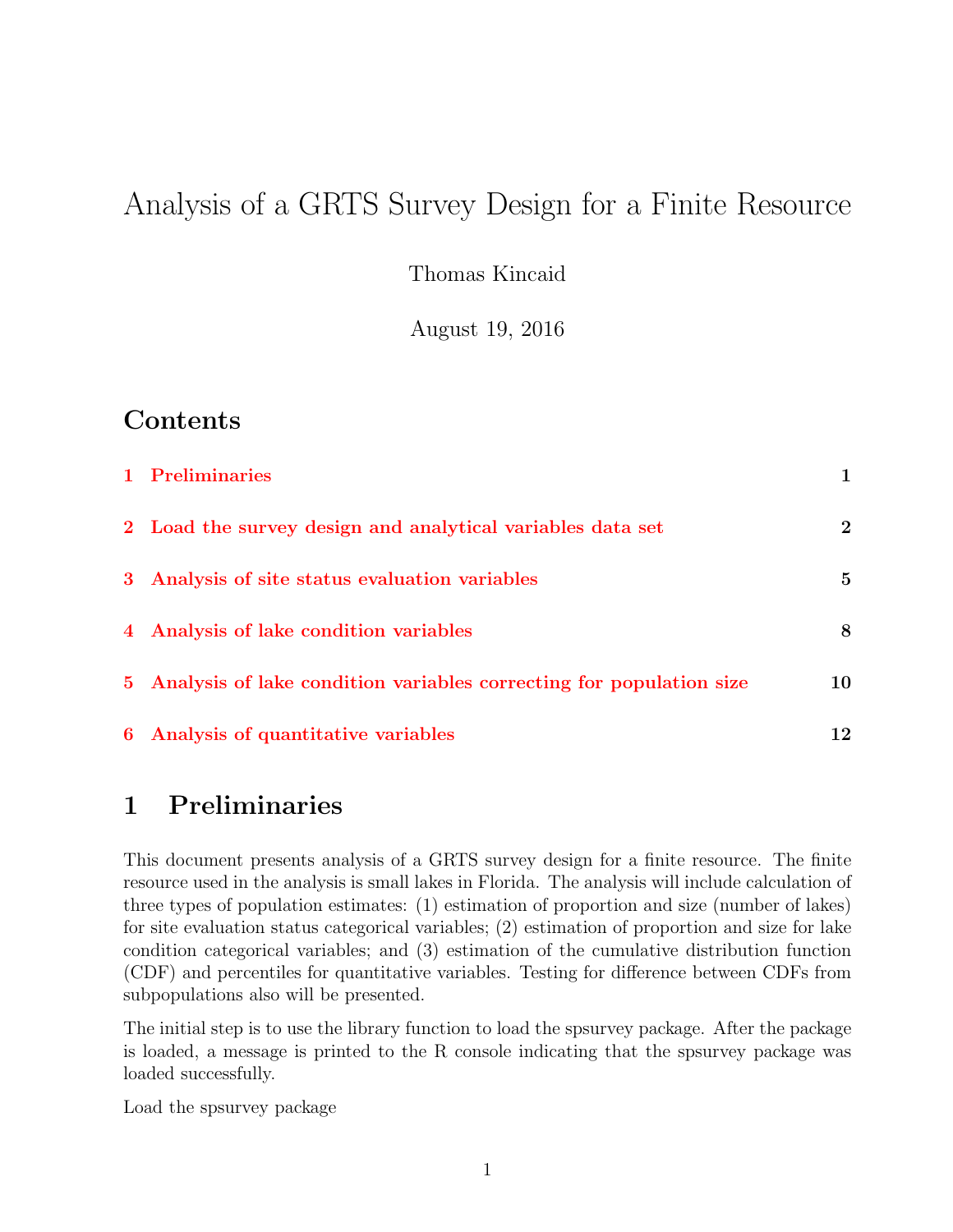# Analysis of a GRTS Survey Design for a Finite Resource

Thomas Kincaid

August 19, 2016

## Contents

| 1 Preliminaries                                                       | $\mathbf{1}$ |
|-----------------------------------------------------------------------|--------------|
| 2 Load the survey design and analytical variables data set            | $\bf{2}$     |
| 3 Analysis of site status evaluation variables                        | 5            |
| 4 Analysis of lake condition variables                                | 8            |
| 5 Analysis of lake condition variables correcting for population size | 10           |
| 6 Analysis of quantitative variables                                  | 12           |

## <span id="page-0-0"></span>1 Preliminaries

This document presents analysis of a GRTS survey design for a finite resource. The finite resource used in the analysis is small lakes in Florida. The analysis will include calculation of three types of population estimates: (1) estimation of proportion and size (number of lakes) for site evaluation status categorical variables; (2) estimation of proportion and size for lake condition categorical variables; and (3) estimation of the cumulative distribution function (CDF) and percentiles for quantitative variables. Testing for difference between CDFs from subpopulations also will be presented.

The initial step is to use the library function to load the spsurvey package. After the package is loaded, a message is printed to the R console indicating that the spsurvey package was loaded successfully.

Load the spsurvey package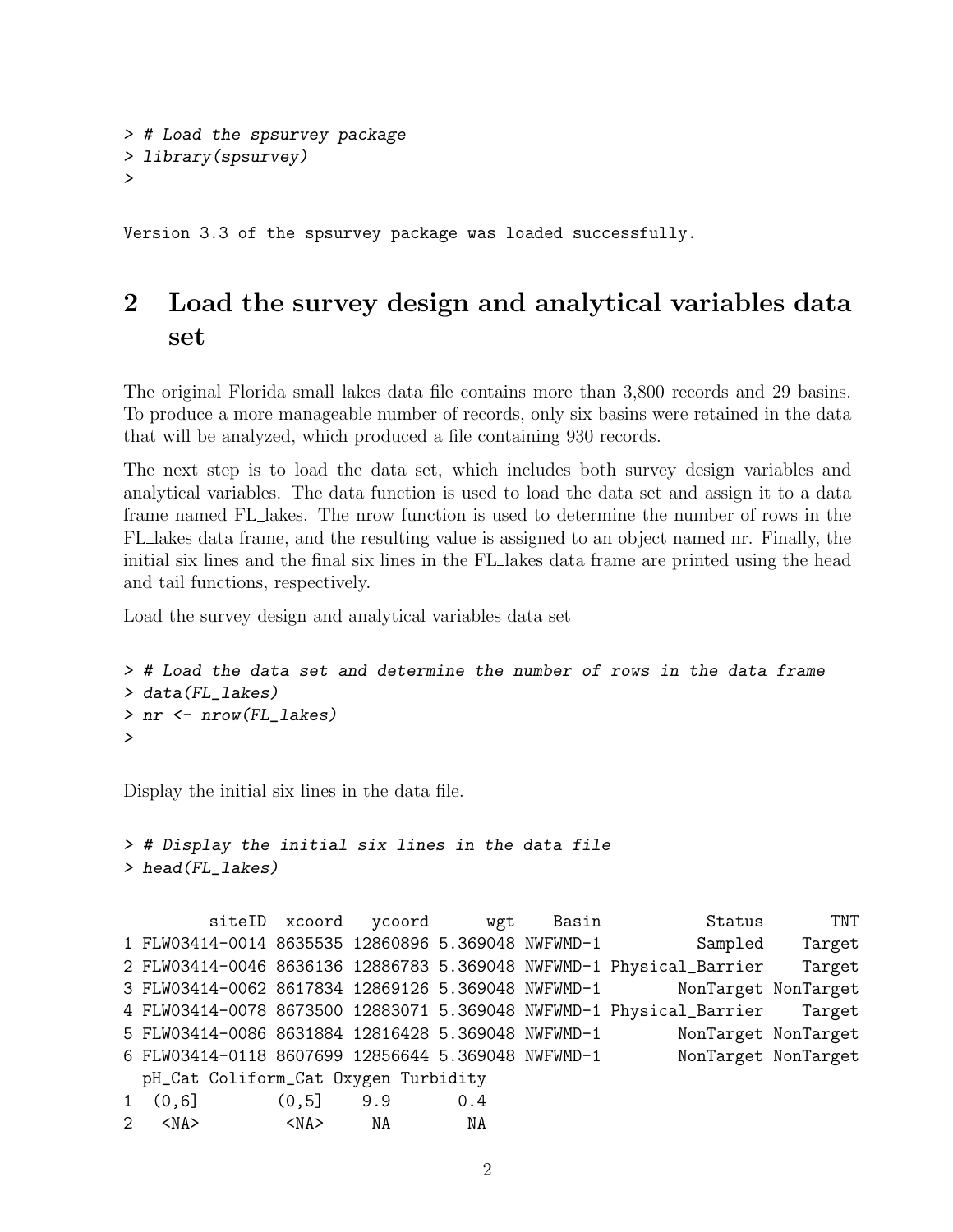```
> # Load the spsurvey package
> library(spsurvey)
>
```
Version 3.3 of the spsurvey package was loaded successfully.

# <span id="page-1-0"></span>2 Load the survey design and analytical variables data set

The original Florida small lakes data file contains more than 3,800 records and 29 basins. To produce a more manageable number of records, only six basins were retained in the data that will be analyzed, which produced a file containing 930 records.

The next step is to load the data set, which includes both survey design variables and analytical variables. The data function is used to load the data set and assign it to a data frame named FL lakes. The nrow function is used to determine the number of rows in the FL lakes data frame, and the resulting value is assigned to an object named nr. Finally, the initial six lines and the final six lines in the FL lakes data frame are printed using the head and tail functions, respectively.

Load the survey design and analytical variables data set

```
> # Load the data set and determine the number of rows in the data frame
> data(FL_lakes)
> nr <- nrow(FL_lakes)
>
```
Display the initial six lines in the data file.

```
> # Display the initial six lines in the data file
> head(FL_lakes)
```

```
siteID xcoord ycoord wgt Basin   Status   TNT
1 FLW03414-0014 8635535 12860896 5.369048 NWFWMD-1 Sampled Target
2 FLW03414-0046 8636136 12886783 5.369048 NWFWMD-1 Physical_Barrier Target
3 FLW03414-0062 8617834 12869126 5.369048 NWFWMD-1 NonTarget NonTarget
4 FLW03414-0078 8673500 12883071 5.369048 NWFWMD-1 Physical_Barrier Target
5 FLW03414-0086 8631884 12816428 5.369048 NWFWMD-1 NonTarget NonTarget
6 FLW03414-0118 8607699 12856644 5.369048 NWFWMD-1 NonTarget NonTarget
 pH_Cat Coliform_Cat Oxygen Turbidity
1 (0,6] (0,5] 9.9 0.4
2 <NA> <NA> NA NA
```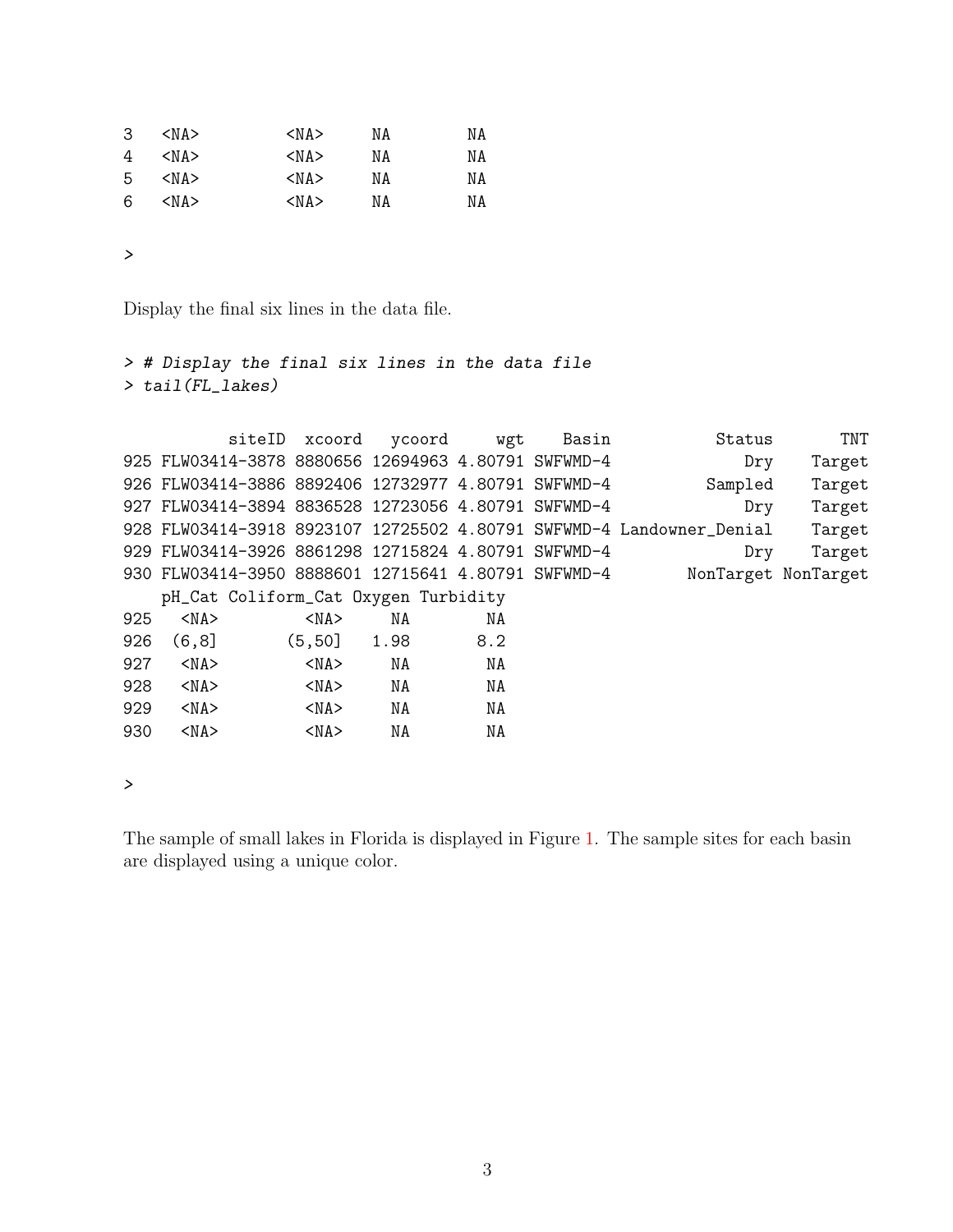| 3  | $<$ NA $>$ | $<$ NA $>$ | ΝA | ΝA |
|----|------------|------------|----|----|
| 4  | $<$ NA $>$ | $<$ NA $>$ | ΝA | ΝA |
| -5 | $<$ NA $>$ | $<$ NA $>$ | ΝA | ΝA |
| 6  | $<$ NA $>$ | $<$ NA $>$ | ΝA | ΝA |

Display the final six lines in the data file.

```
> # Display the final six lines in the data file
> tail(FL_lakes)
```

|     |                                                     | siteID xcoord | ycoord | wgt | Basin | Status                                                               | TNT    |
|-----|-----------------------------------------------------|---------------|--------|-----|-------|----------------------------------------------------------------------|--------|
|     | 925 FLW03414-3878 8880656 12694963 4.80791 SWFWMD-4 |               |        |     |       | Dry                                                                  | Target |
|     | 926 FLW03414-3886 8892406 12732977 4.80791 SWFWMD-4 |               |        |     |       | Sampled                                                              | Target |
|     | 927 FLW03414-3894 8836528 12723056 4.80791 SWFWMD-4 |               |        |     |       | Dry                                                                  | Target |
|     |                                                     |               |        |     |       | 928 FLW03414-3918 8923107 12725502 4.80791 SWFWMD-4 Landowner Denial | Target |
|     | 929 FLW03414-3926 8861298 12715824 4.80791 SWFWMD-4 |               |        |     |       | Dry                                                                  | Target |
|     | 930 FLW03414-3950 8888601 12715641 4.80791 SWFWMD-4 |               |        |     |       | NonTarget NonTarget                                                  |        |
|     | pH_Cat Coliform_Cat Oxygen Turbidity                |               |        |     |       |                                                                      |        |
| 925 | $<$ NA $>$                                          | $<$ NA $>$    | NA     | NA  |       |                                                                      |        |
| 926 | (6, 8]                                              | (5, 50]       | 1.98   | 8.2 |       |                                                                      |        |
| 927 | $<$ NA $>$                                          | $<$ NA $>$    | NA     | NA  |       |                                                                      |        |
| 928 | $<$ NA $>$                                          | $<$ NA $>$    | NA     | NA  |       |                                                                      |        |
| 929 | $<$ NA $>$                                          | $<$ NA $>$    | NA     | NA  |       |                                                                      |        |
| 930 | $<$ NA $>$                                          | $<$ NA $>$    | NA     | NA  |       |                                                                      |        |
|     |                                                     |               |        |     |       |                                                                      |        |

*>*

The sample of small lakes in Florida is displayed in Figure [1.](#page-3-0) The sample sites for each basin are displayed using a unique color.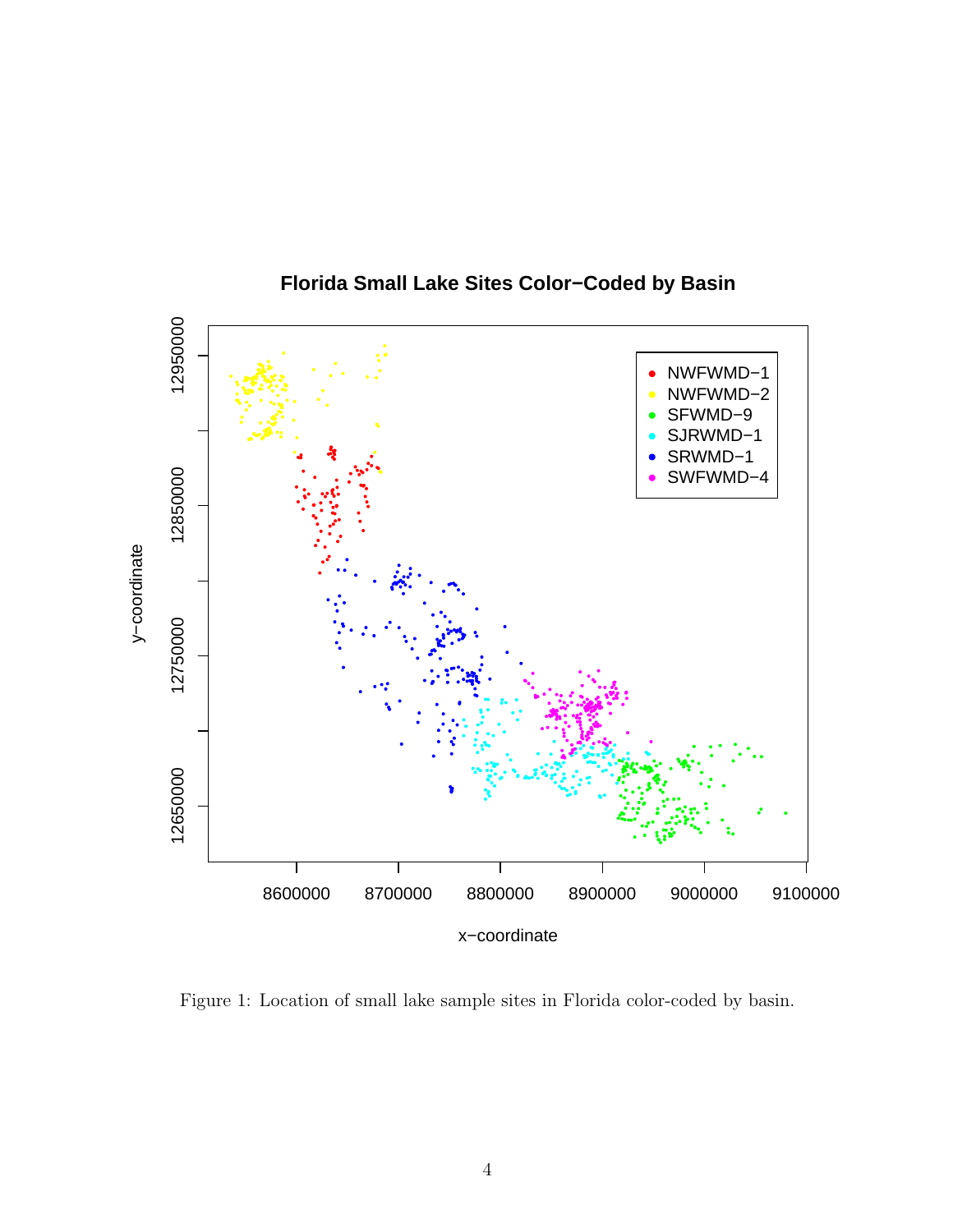

Florida Small Lake Sites Color-Coded by Basin

<span id="page-3-0"></span>Figure 1: Location of small lake sample sites in Florida color-coded by basin.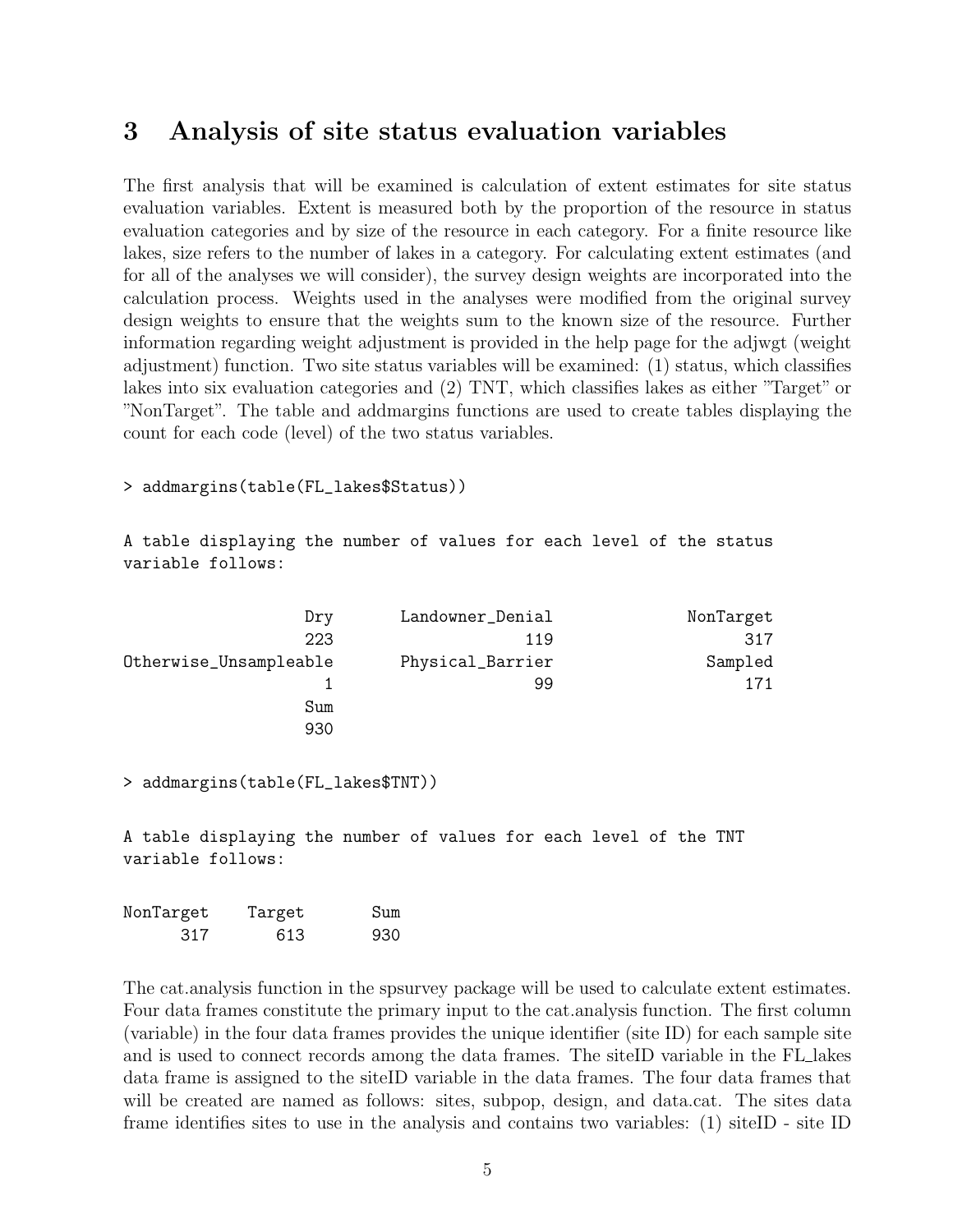## <span id="page-4-0"></span>3 Analysis of site status evaluation variables

The first analysis that will be examined is calculation of extent estimates for site status evaluation variables. Extent is measured both by the proportion of the resource in status evaluation categories and by size of the resource in each category. For a finite resource like lakes, size refers to the number of lakes in a category. For calculating extent estimates (and for all of the analyses we will consider), the survey design weights are incorporated into the calculation process. Weights used in the analyses were modified from the original survey design weights to ensure that the weights sum to the known size of the resource. Further information regarding weight adjustment is provided in the help page for the adjwgt (weight adjustment) function. Two site status variables will be examined: (1) status, which classifies lakes into six evaluation categories and (2) TNT, which classifies lakes as either "Target" or "NonTarget". The table and addmargins functions are used to create tables displaying the count for each code (level) of the two status variables.

#### > addmargins(table(FL\_lakes\$Status))

A table displaying the number of values for each level of the status variable follows:

| Dry                    | Landowner_Denial | NonTarget |
|------------------------|------------------|-----------|
| 223                    | 119              | 317       |
| Otherwise_Unsampleable | Physical_Barrier | Sampled   |
|                        | 99               | 171       |
| Sum                    |                  |           |
| 930                    |                  |           |

> addmargins(table(FL\_lakes\$TNT))

A table displaying the number of values for each level of the TNT variable follows:

| NonTarget | Target | Sum |
|-----------|--------|-----|
| 317       | 613    | 930 |

The cat.analysis function in the spsurvey package will be used to calculate extent estimates. Four data frames constitute the primary input to the cat.analysis function. The first column (variable) in the four data frames provides the unique identifier (site ID) for each sample site and is used to connect records among the data frames. The siteID variable in the FL lakes data frame is assigned to the siteID variable in the data frames. The four data frames that will be created are named as follows: sites, subpop, design, and data.cat. The sites data frame identifies sites to use in the analysis and contains two variables: (1) siteID - site ID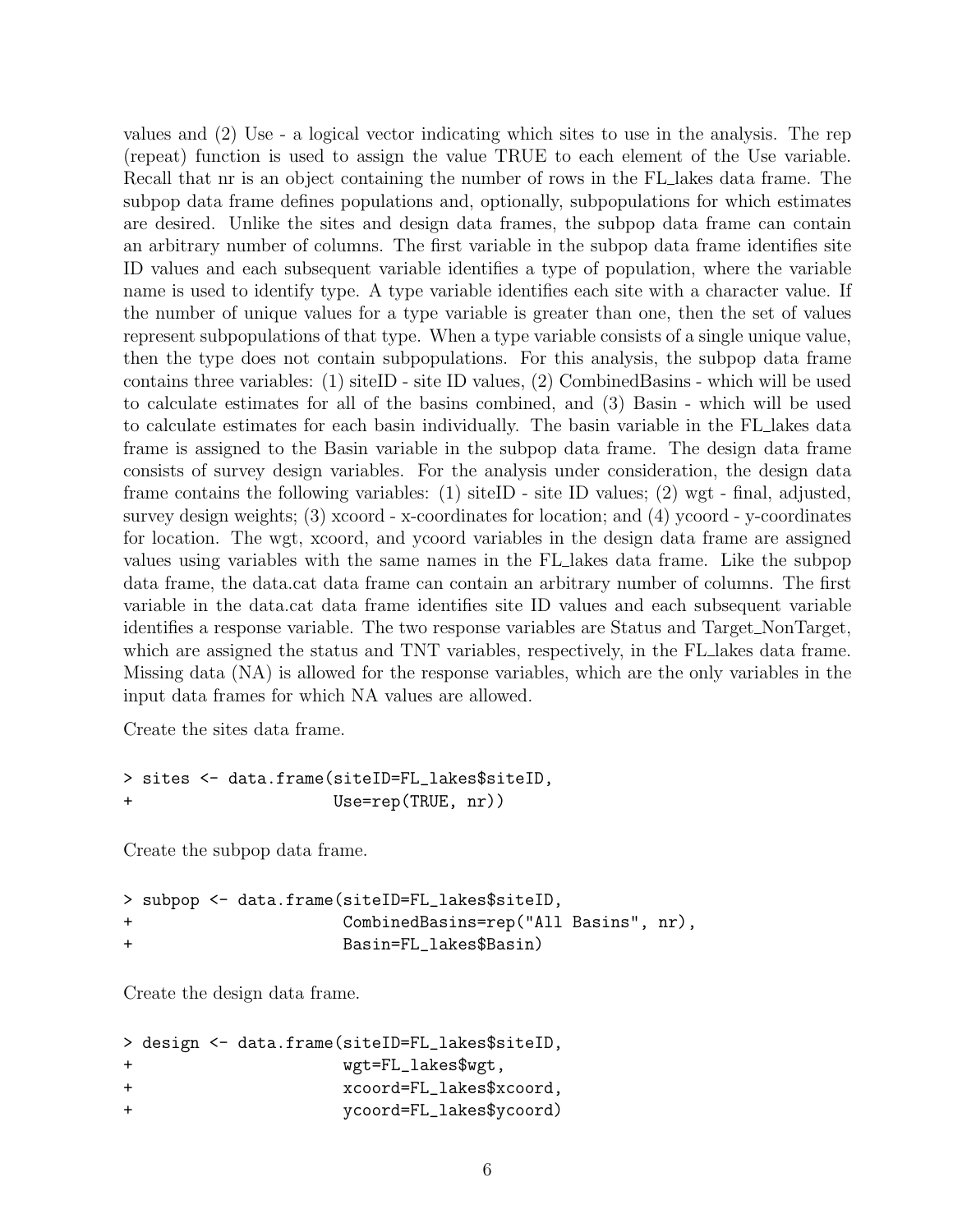values and (2) Use - a logical vector indicating which sites to use in the analysis. The rep (repeat) function is used to assign the value TRUE to each element of the Use variable. Recall that nr is an object containing the number of rows in the FL lakes data frame. The subpop data frame defines populations and, optionally, subpopulations for which estimates are desired. Unlike the sites and design data frames, the subpop data frame can contain an arbitrary number of columns. The first variable in the subpop data frame identifies site ID values and each subsequent variable identifies a type of population, where the variable name is used to identify type. A type variable identifies each site with a character value. If the number of unique values for a type variable is greater than one, then the set of values represent subpopulations of that type. When a type variable consists of a single unique value, then the type does not contain subpopulations. For this analysis, the subpop data frame contains three variables: (1) siteID - site ID values, (2) CombinedBasins - which will be used to calculate estimates for all of the basins combined, and (3) Basin - which will be used to calculate estimates for each basin individually. The basin variable in the FL lakes data frame is assigned to the Basin variable in the subpop data frame. The design data frame consists of survey design variables. For the analysis under consideration, the design data frame contains the following variables: (1) siteID - site ID values; (2) wgt - final, adjusted, survey design weights; (3) xcoord - x-coordinates for location; and (4) ycoord - y-coordinates for location. The wgt, xcoord, and ycoord variables in the design data frame are assigned values using variables with the same names in the FL lakes data frame. Like the subpop data frame, the data.cat data frame can contain an arbitrary number of columns. The first variable in the data.cat data frame identifies site ID values and each subsequent variable identifies a response variable. The two response variables are Status and Target\_NonTarget, which are assigned the status and TNT variables, respectively, in the FL lakes data frame. Missing data (NA) is allowed for the response variables, which are the only variables in the input data frames for which NA values are allowed.

Create the sites data frame.

```
> sites <- data.frame(siteID=FL_lakes$siteID,
+ Use=rep(TRUE, nr))
```
Create the subpop data frame.

> subpop <- data.frame(siteID=FL\_lakes\$siteID, + CombinedBasins=rep("All Basins", nr), + Basin=FL\_lakes\$Basin)

Create the design data frame.

|        |  | > design <- data.frame(siteID=FL_lakes\$siteID, |
|--------|--|-------------------------------------------------|
| $\div$ |  | wgt=FL_lakes\$wgt,                              |
| $\div$ |  | xcoord=FL_lakes\$xcoord,                        |
| $\div$ |  | ycoord=FL_lakes\$ycoord)                        |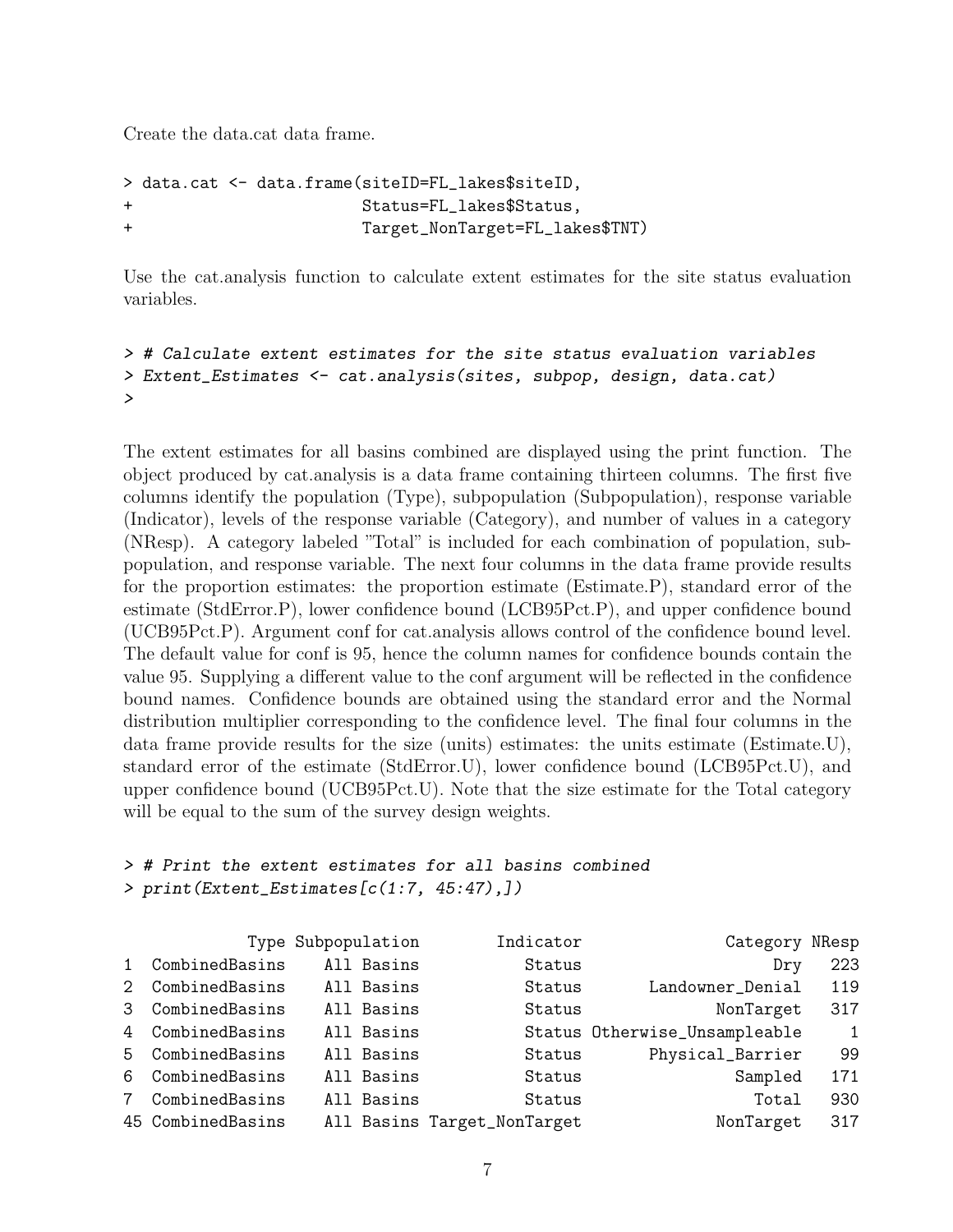Create the data.cat data frame.

```
> data.cat <- data.frame(siteID=FL_lakes$siteID,
                     Status=FL_lakes$Status,
+ Target_NonTarget=FL_lakes$TNT)
```
Use the cat.analysis function to calculate extent estimates for the site status evaluation variables.

```
> # Calculate extent estimates for the site status evaluation variables
> Extent_Estimates <- cat.analysis(sites, subpop, design, data.cat)
>
```
The extent estimates for all basins combined are displayed using the print function. The object produced by cat.analysis is a data frame containing thirteen columns. The first five columns identify the population (Type), subpopulation (Subpopulation), response variable (Indicator), levels of the response variable (Category), and number of values in a category (NResp). A category labeled "Total" is included for each combination of population, subpopulation, and response variable. The next four columns in the data frame provide results for the proportion estimates: the proportion estimate (Estimate.P), standard error of the estimate (StdError.P), lower confidence bound (LCB95Pct.P), and upper confidence bound (UCB95Pct.P). Argument conf for cat.analysis allows control of the confidence bound level. The default value for conf is 95, hence the column names for confidence bounds contain the value 95. Supplying a different value to the conf argument will be reflected in the confidence bound names. Confidence bounds are obtained using the standard error and the Normal distribution multiplier corresponding to the confidence level. The final four columns in the data frame provide results for the size (units) estimates: the units estimate (Estimate.U), standard error of the estimate (StdError.U), lower confidence bound (LCB95Pct.U), and upper confidence bound (UCB95Pct.U). Note that the size estimate for the Total category will be equal to the sum of the survey design weights.

```
> # Print the extent estimates for all basins combined
> print(Extent_Estimates[c(1:7, 45:47),])
```

|                 |                   | Type Subpopulation | Indicator                   | Category                      | NResp |
|-----------------|-------------------|--------------------|-----------------------------|-------------------------------|-------|
| $\mathbf{1}$    | CombinedBasins    | All Basins         | Status                      | Dry                           | 223   |
| 2               | CombinedBasins    | All Basins         | Status                      | Landowner_Denial              | 119   |
| $\mathcal{S}$   | CombinedBasins    | All Basins         | Status                      | NonTarget                     | 317   |
|                 | 4 CombinedBasins  | All Basins         |                             | Status Otherwise_Unsampleable | -1    |
|                 | 5 CombinedBasins  | All Basins         | Status                      | Physical_Barrier              | 99    |
| 6               | CombinedBasins    | All Basins         | Status                      | Sampled                       | 171   |
| $7\phantom{.0}$ | CombinedBasins    | All Basins         | Status                      | Total                         | 930   |
|                 | 45 CombinedBasins |                    | All Basins Target_NonTarget | NonTarget                     | 317   |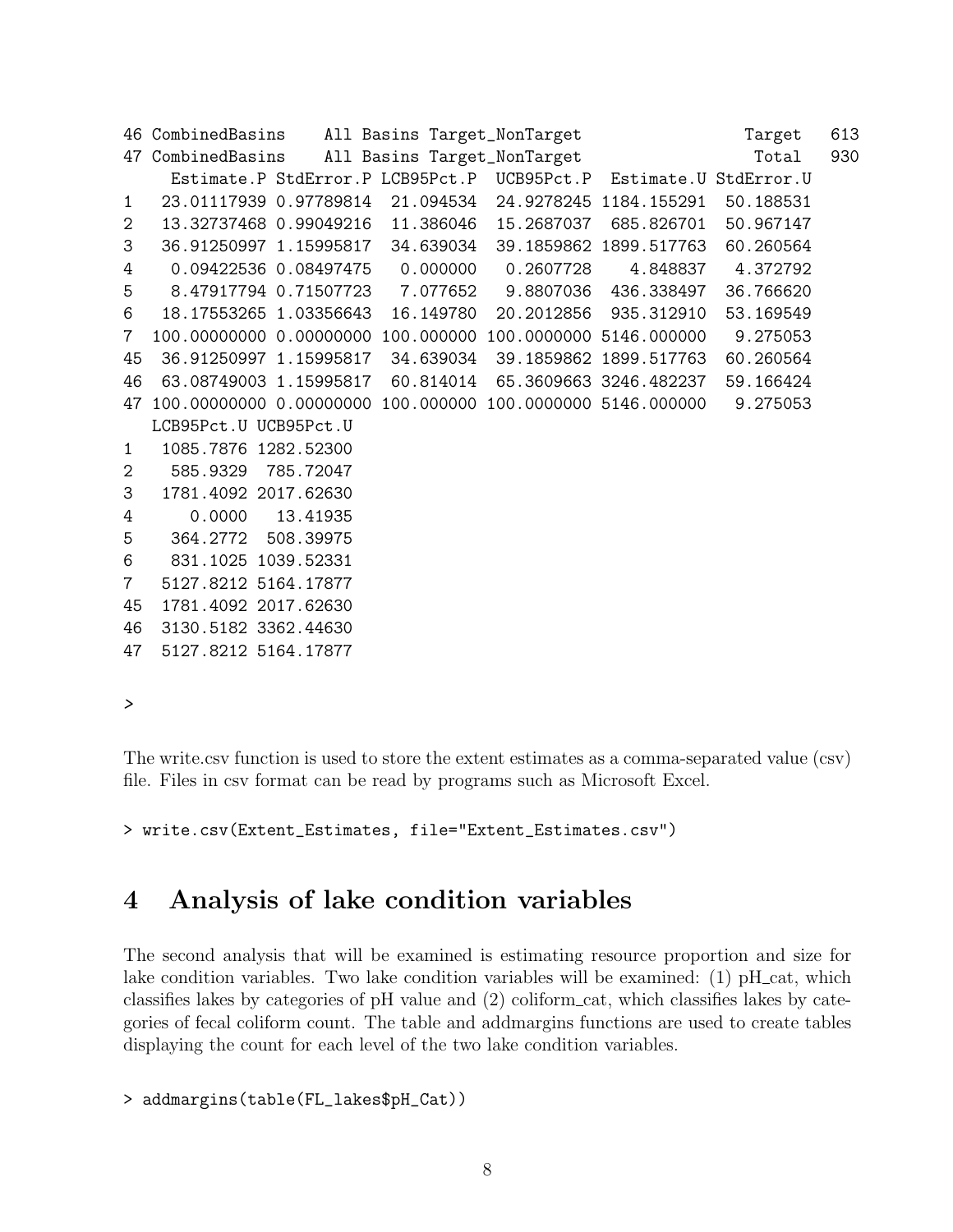```
46 CombinedBasins  All Basins Target_NonTarget  Target  613
47 CombinedBasins  All Basins Target_NonTarget \qquad \qquadTotal 930
    Estimate.P StdError.P LCB95Pct.P UCB95Pct.P Estimate.U StdError.U
1 23.01117939 0.97789814 21.094534 24.9278245 1184.155291 50.188531
2 13.32737468 0.99049216 11.386046 15.2687037 685.826701 50.967147
3 36.91250997 1.15995817 34.639034 39.1859862 1899.517763 60.260564
4 0.09422536 0.08497475 0.000000 0.2607728 4.848837 4.372792
5 8.47917794 0.71507723 7.077652 9.8807036 436.338497 36.766620
6 18.17553265 1.03356643 16.149780 20.2012856 935.312910 53.169549
7 100.00000000 0.00000000 100.000000 100.0000000 5146.000000 9.275053
45 36.91250997 1.15995817 34.639034 39.1859862 1899.517763 60.260564
46 63.08749003 1.15995817 60.814014 65.3609663 3246.482237 59.166424
47 100.00000000 0.00000000 100.000000 100.0000000 5146.000000 9.275053
  LCB95Pct.U UCB95Pct.U
1 1085.7876 1282.52300
2 585.9329 785.72047
3 1781.4092 2017.62630
4 0.0000 13.41935
5 364.2772 508.39975
6 831.1025 1039.52331
7 5127.8212 5164.17877
45 1781.4092 2017.62630
46 3130.5182 3362.44630
47 5127.8212 5164.17877
```
The write.csv function is used to store the extent estimates as a comma-separated value (csv) file. Files in csv format can be read by programs such as Microsoft Excel.

> write.csv(Extent\_Estimates, file="Extent\_Estimates.csv")

## <span id="page-7-0"></span>4 Analysis of lake condition variables

The second analysis that will be examined is estimating resource proportion and size for lake condition variables. Two lake condition variables will be examined: (1) pH\_cat, which classifies lakes by categories of pH value and (2) coliform cat, which classifies lakes by categories of fecal coliform count. The table and addmargins functions are used to create tables displaying the count for each level of the two lake condition variables.

```
> addmargins(table(FL_lakes$pH_Cat))
```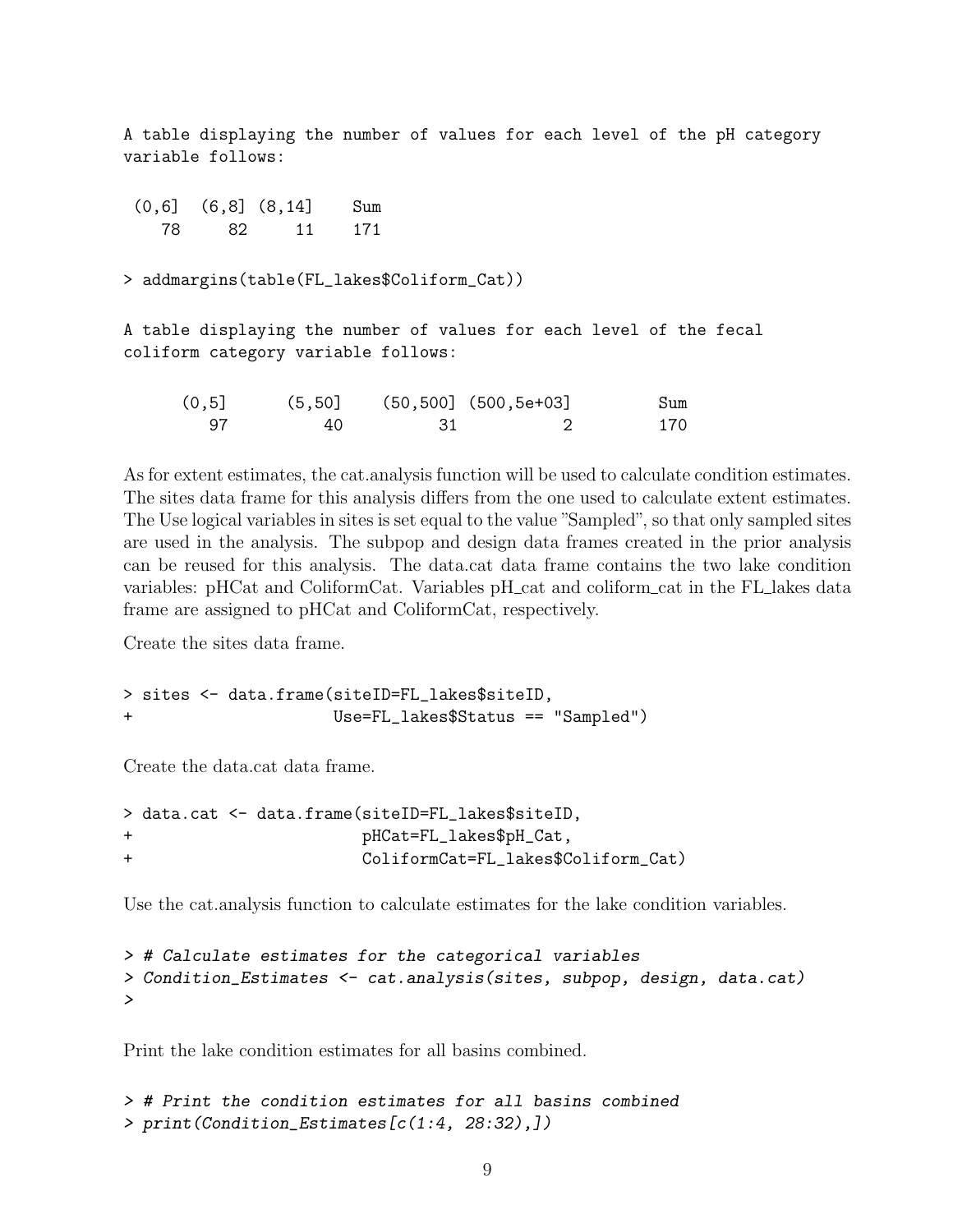A table displaying the number of values for each level of the pH category variable follows:

(0,6] (6,8] (8,14] Sum 78 82 11 171

> addmargins(table(FL\_lakes\$Coliform\_Cat))

A table displaying the number of values for each level of the fecal coliform category variable follows:

| (0, 5] | (5, 50] |      | $(50, 500]$ $(500, 5e+03]$ | Sum |
|--------|---------|------|----------------------------|-----|
| -97    | 40      | - 31 |                            | 170 |

As for extent estimates, the cat.analysis function will be used to calculate condition estimates. The sites data frame for this analysis differs from the one used to calculate extent estimates. The Use logical variables in sites is set equal to the value "Sampled", so that only sampled sites are used in the analysis. The subpop and design data frames created in the prior analysis can be reused for this analysis. The data.cat data frame contains the two lake condition variables: pHCat and ColiformCat. Variables pH\_cat and coliform\_cat in the FL\_lakes data frame are assigned to pHCat and ColiformCat, respectively.

Create the sites data frame.

```
> sites <- data.frame(siteID=FL_lakes$siteID,
+ Use=FL_lakes$Status == "Sampled")
```
Create the data.cat data frame.

```
> data.cat <- data.frame(siteID=FL_lakes$siteID,
+ pHCat=FL_lakes$pH_Cat,
+ ColiformCat=FL_lakes$Coliform_Cat)
```
Use the cat.analysis function to calculate estimates for the lake condition variables.

```
> # Calculate estimates for the categorical variables
> Condition_Estimates <- cat.analysis(sites, subpop, design, data.cat)
>
```
Print the lake condition estimates for all basins combined.

```
> # Print the condition estimates for all basins combined
> print(Condition_Estimates[c(1:4, 28:32),])
```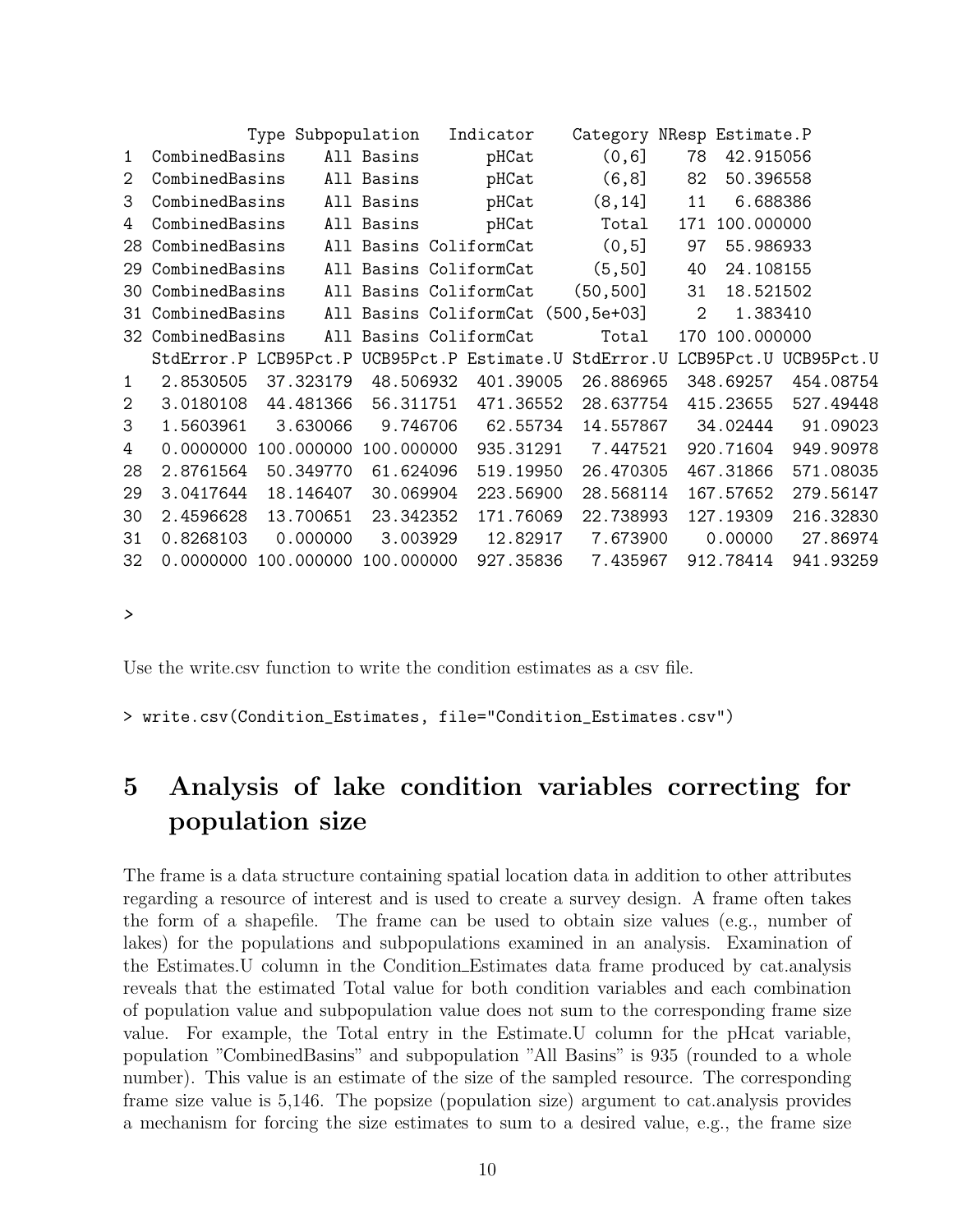|                |                                        |                                                                                                                                                                             | Indicator                                                                                                         |                                                                                                                                                                                                                           |                                                                                                                 |                                                                                                                                                                                          |                                                                                                                                                                                           |
|----------------|----------------------------------------|-----------------------------------------------------------------------------------------------------------------------------------------------------------------------------|-------------------------------------------------------------------------------------------------------------------|---------------------------------------------------------------------------------------------------------------------------------------------------------------------------------------------------------------------------|-----------------------------------------------------------------------------------------------------------------|------------------------------------------------------------------------------------------------------------------------------------------------------------------------------------------|-------------------------------------------------------------------------------------------------------------------------------------------------------------------------------------------|
| CombinedBasins |                                        |                                                                                                                                                                             | pHCat                                                                                                             | (0, 6]                                                                                                                                                                                                                    | 78                                                                                                              | 42.915056                                                                                                                                                                                |                                                                                                                                                                                           |
| CombinedBasins |                                        |                                                                                                                                                                             | pHCat                                                                                                             | (6, 8]                                                                                                                                                                                                                    | 82                                                                                                              | 50.396558                                                                                                                                                                                |                                                                                                                                                                                           |
| CombinedBasins |                                        |                                                                                                                                                                             | pHCat                                                                                                             | (8, 14]                                                                                                                                                                                                                   | 11                                                                                                              | 6.688386                                                                                                                                                                                 |                                                                                                                                                                                           |
|                |                                        |                                                                                                                                                                             | pHCat                                                                                                             | Total                                                                                                                                                                                                                     | 171                                                                                                             |                                                                                                                                                                                          |                                                                                                                                                                                           |
|                |                                        |                                                                                                                                                                             |                                                                                                                   | (0, 5]                                                                                                                                                                                                                    | 97                                                                                                              | 55.986933                                                                                                                                                                                |                                                                                                                                                                                           |
|                |                                        |                                                                                                                                                                             |                                                                                                                   | (5, 50]                                                                                                                                                                                                                   | 40                                                                                                              | 24.108155                                                                                                                                                                                |                                                                                                                                                                                           |
|                |                                        |                                                                                                                                                                             |                                                                                                                   | (50, 500]                                                                                                                                                                                                                 | 31                                                                                                              | 18.521502                                                                                                                                                                                |                                                                                                                                                                                           |
|                |                                        |                                                                                                                                                                             |                                                                                                                   |                                                                                                                                                                                                                           | 2                                                                                                               | 1.383410                                                                                                                                                                                 |                                                                                                                                                                                           |
|                |                                        |                                                                                                                                                                             |                                                                                                                   | Total                                                                                                                                                                                                                     |                                                                                                                 |                                                                                                                                                                                          |                                                                                                                                                                                           |
|                |                                        |                                                                                                                                                                             |                                                                                                                   |                                                                                                                                                                                                                           |                                                                                                                 |                                                                                                                                                                                          | UCB95Pct.U                                                                                                                                                                                |
| 2.8530505      |                                        |                                                                                                                                                                             |                                                                                                                   |                                                                                                                                                                                                                           |                                                                                                                 |                                                                                                                                                                                          | 454.08754                                                                                                                                                                                 |
| 3.0180108      |                                        |                                                                                                                                                                             |                                                                                                                   |                                                                                                                                                                                                                           |                                                                                                                 |                                                                                                                                                                                          | 527.49448                                                                                                                                                                                 |
| 1.5603961      |                                        |                                                                                                                                                                             |                                                                                                                   |                                                                                                                                                                                                                           |                                                                                                                 |                                                                                                                                                                                          | 91.09023                                                                                                                                                                                  |
| 0.0000000      |                                        |                                                                                                                                                                             |                                                                                                                   |                                                                                                                                                                                                                           |                                                                                                                 |                                                                                                                                                                                          | 949.90978                                                                                                                                                                                 |
| 2.8761564      |                                        |                                                                                                                                                                             |                                                                                                                   |                                                                                                                                                                                                                           |                                                                                                                 |                                                                                                                                                                                          | 571.08035                                                                                                                                                                                 |
| 3.0417644      |                                        |                                                                                                                                                                             |                                                                                                                   |                                                                                                                                                                                                                           |                                                                                                                 |                                                                                                                                                                                          | 279.56147                                                                                                                                                                                 |
| 2.4596628      |                                        |                                                                                                                                                                             |                                                                                                                   |                                                                                                                                                                                                                           |                                                                                                                 |                                                                                                                                                                                          | 216.32830                                                                                                                                                                                 |
| 0.8268103      |                                        |                                                                                                                                                                             |                                                                                                                   |                                                                                                                                                                                                                           |                                                                                                                 |                                                                                                                                                                                          | 27.86974                                                                                                                                                                                  |
| 0.0000000      |                                        |                                                                                                                                                                             |                                                                                                                   |                                                                                                                                                                                                                           |                                                                                                                 |                                                                                                                                                                                          | 941.93259                                                                                                                                                                                 |
|                | CombinedBasins<br>CombinedBasins<br>32 | CombinedBasins<br>CombinedBasins<br>CombinedBasins<br>CombinedBasins<br>37.323179<br>44.481366<br>3.630066<br>50.349770<br>18.146407<br>13.700651<br>0.000000<br>100.000000 | Type Subpopulation<br>All Basins<br>All Basins<br>All Basins<br>All Basins<br>StdError.P LCB95Pct.P<br>100.000000 | All Basins ColiformCat<br>All Basins ColiformCat<br>All Basins ColiformCat<br>All Basins ColiformCat<br>48.506932<br>56.311751<br>9.746706<br>100.000000<br>61.624096<br>30.069904<br>23.342352<br>3.003929<br>100.000000 | 401.39005<br>471.36552<br>62.55734<br>935.31291<br>519.19950<br>223.56900<br>171.76069<br>12.82917<br>927.35836 | All Basins ColiformCat (500,5e+03]<br>UCB95Pct.P Estimate.U StdError.U<br>26.886965<br>28.637754<br>14.557867<br>7.447521<br>26.470305<br>28.568114<br>22.738993<br>7.673900<br>7.435967 | Category NResp Estimate.P<br>100.000000<br>170 100.000000<br>LCB95Pct.U<br>348.69257<br>415.23655<br>34.02444<br>920.71604<br>467.31866<br>167.57652<br>127.19309<br>0.00000<br>912.78414 |

Use the write.csv function to write the condition estimates as a csv file.

> write.csv(Condition\_Estimates, file="Condition\_Estimates.csv")

# <span id="page-9-0"></span>5 Analysis of lake condition variables correcting for population size

The frame is a data structure containing spatial location data in addition to other attributes regarding a resource of interest and is used to create a survey design. A frame often takes the form of a shapefile. The frame can be used to obtain size values (e.g., number of lakes) for the populations and subpopulations examined in an analysis. Examination of the Estimates.U column in the Condition Estimates data frame produced by cat.analysis reveals that the estimated Total value for both condition variables and each combination of population value and subpopulation value does not sum to the corresponding frame size value. For example, the Total entry in the Estimate.U column for the pHcat variable, population "CombinedBasins" and subpopulation "All Basins" is 935 (rounded to a whole number). This value is an estimate of the size of the sampled resource. The corresponding frame size value is 5,146. The popsize (population size) argument to cat.analysis provides a mechanism for forcing the size estimates to sum to a desired value, e.g., the frame size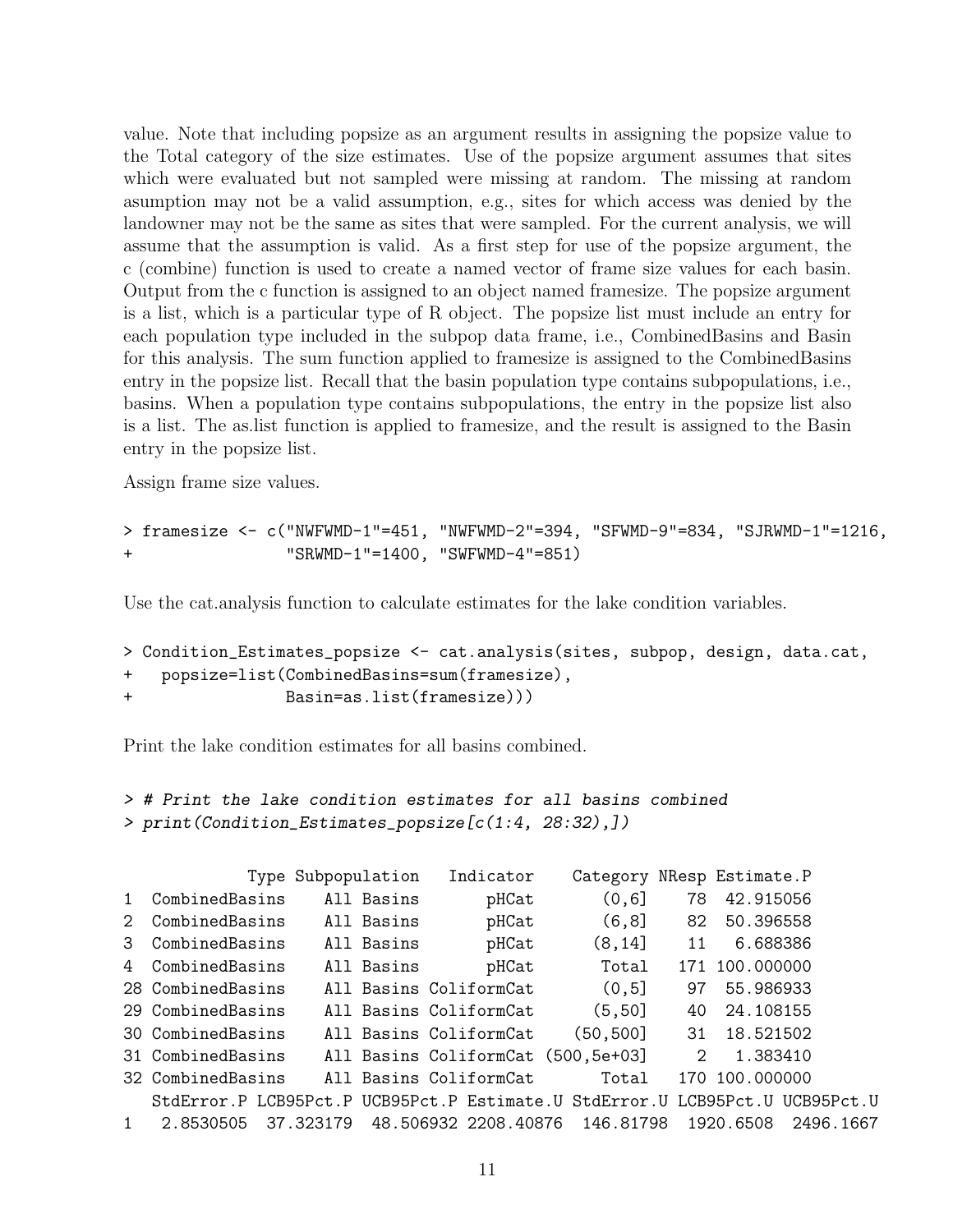value. Note that including popsize as an argument results in assigning the popsize value to the Total category of the size estimates. Use of the popsize argument assumes that sites which were evaluated but not sampled were missing at random. The missing at random asumption may not be a valid assumption, e.g., sites for which access was denied by the landowner may not be the same as sites that were sampled. For the current analysis, we will assume that the assumption is valid. As a first step for use of the popsize argument, the c (combine) function is used to create a named vector of frame size values for each basin. Output from the c function is assigned to an object named framesize. The popsize argument is a list, which is a particular type of R object. The popsize list must include an entry for each population type included in the subpop data frame, i.e., CombinedBasins and Basin for this analysis. The sum function applied to framesize is assigned to the CombinedBasins entry in the popsize list. Recall that the basin population type contains subpopulations, i.e., basins. When a population type contains subpopulations, the entry in the popsize list also is a list. The as.list function is applied to framesize, and the result is assigned to the Basin entry in the popsize list.

Assign frame size values.

```
> framesize <- c("NWFWMD-1"=451, "NWFWMD-2"=394, "SFWMD-9"=834, "SJRWMD-1"=1216,
+ "SRWMD-1"=1400, "SWFWMD-4"=851)
```
Use the cat.analysis function to calculate estimates for the lake condition variables.

```
> Condition_Estimates_popsize <- cat.analysis(sites, subpop, design, data.cat,
+ popsize=list(CombinedBasins=sum(framesize),
+ Basin=as.list(framesize)))
```
Print the lake condition estimates for all basins combined.

```
> # Print the lake condition estimates for all basins combined
> print(Condition_Estimates_popsize[c(1:4, 28:32),])
```

|              |                                                                              | Type Subpopulation | Indicator                          | Category  |               | NResp Estimate.P |           |
|--------------|------------------------------------------------------------------------------|--------------------|------------------------------------|-----------|---------------|------------------|-----------|
| 1            | CombinedBasins                                                               | All Basins         | pHCat                              | (0, 6]    | 78            | 42.915056        |           |
| 2            | CombinedBasins                                                               | All Basins         | pHCat                              | (6, 8]    | 82            | 50.396558        |           |
| 3            | CombinedBasins                                                               | All Basins         | pHCat                              | (8, 14]   | 11            | 6.688386         |           |
| 4            | CombinedBasins                                                               | All Basins         | pHCat                              | Total     |               | 171 100,000000   |           |
|              | 28 CombinedBasins                                                            |                    | All Basins ColiformCat             | (0,5]     | 97            | 55.986933        |           |
|              | 29 CombinedBasins                                                            |                    | All Basins ColiformCat             | (5, 50]   | 40            | 24.108155        |           |
|              | 30 CombinedBasins                                                            |                    | All Basins ColiformCat             | (50, 500] | 31            | 18.521502        |           |
|              | 31 CombinedBasins                                                            |                    | All Basins ColiformCat (500,5e+03] |           | $\mathcal{D}$ | 1.383410         |           |
|              | 32 CombinedBasins                                                            |                    | All Basins ColiformCat             | Total     |               | 170 100.000000   |           |
|              | StdError.P LCB95Pct.P UCB95Pct.P Estimate.U StdError.U LCB95Pct.U UCB95Pct.U |                    |                                    |           |               |                  |           |
| $\mathbf{1}$ | 2.8530505                                                                    | 37.323179          | 48.506932 2208.40876 146.81798     |           |               | 1920.6508        | 2496.1667 |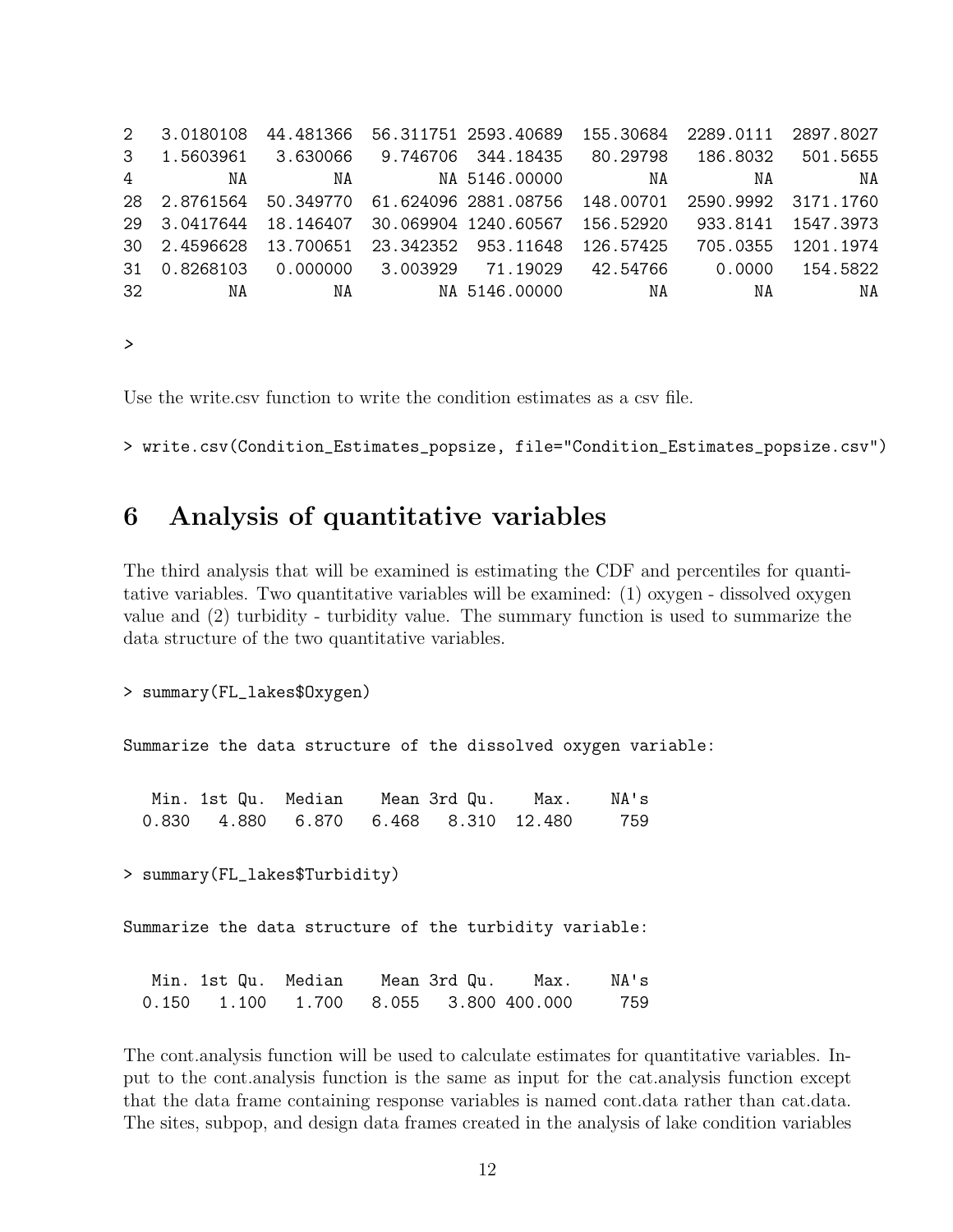2 3.0180108 44.481366 56.311751 2593.40689 155.30684 2289.0111 2897.8027 3 1.5603961 3.630066 9.746706 344.18435 80.29798 186.8032 501.5655 4 NA NA NA 5146.00000 NA NA NA 28 2.8761564 50.349770 61.624096 2881.08756 148.00701 2590.9992 3171.1760 29 3.0417644 18.146407 30.069904 1240.60567 156.52920 933.8141 1547.3973 30 2.4596628 13.700651 23.342352 953.11648 126.57425 705.0355 1201.1974 31 0.8268103 0.000000 3.003929 71.19029 42.54766 0.0000 154.5822 32 NA NA NA 5146.00000 NA NA NA

*>*

Use the write.csv function to write the condition estimates as a csv file.

> write.csv(Condition\_Estimates\_popsize, file="Condition\_Estimates\_popsize.csv")

### <span id="page-11-0"></span>6 Analysis of quantitative variables

The third analysis that will be examined is estimating the CDF and percentiles for quantitative variables. Two quantitative variables will be examined: (1) oxygen - dissolved oxygen value and (2) turbidity - turbidity value. The summary function is used to summarize the data structure of the two quantitative variables.

```
> summary(FL_lakes$Oxygen)
```
Summarize the data structure of the dissolved oxygen variable:

.<br>Min. 1st Qu. Median Mean 3rd Qu. Max. NA's 0.830 4.880 6.870 6.468 8.310 12.480 759

> summary(FL\_lakes\$Turbidity)

Summarize the data structure of the turbidity variable:

|  |  |  | NA's |
|--|--|--|------|
|  |  |  |      |

The cont.analysis function will be used to calculate estimates for quantitative variables. Input to the cont.analysis function is the same as input for the cat.analysis function except that the data frame containing response variables is named cont.data rather than cat.data. The sites, subpop, and design data frames created in the analysis of lake condition variables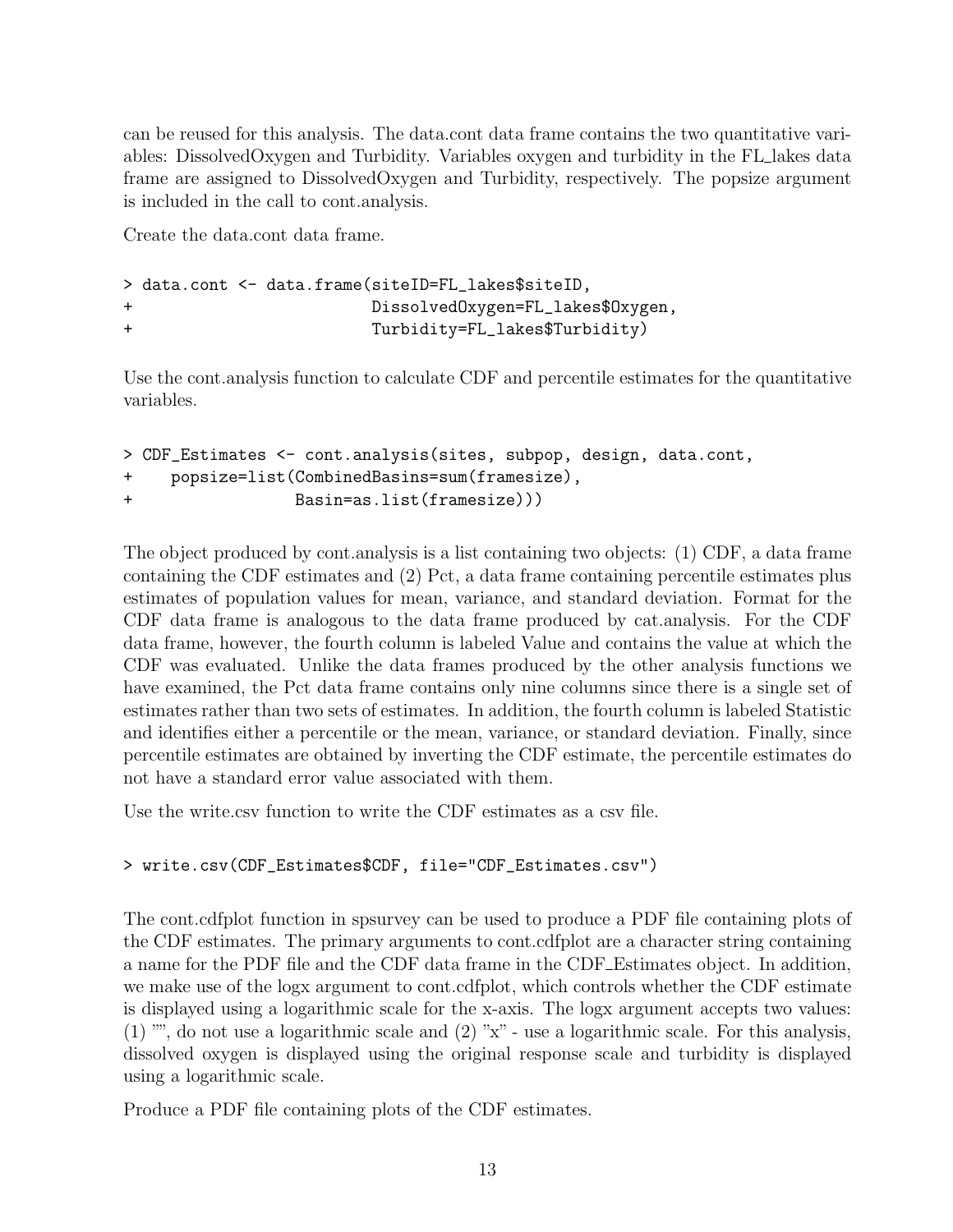can be reused for this analysis. The data.cont data frame contains the two quantitative variables: DissolvedOxygen and Turbidity. Variables oxygen and turbidity in the FL lakes data frame are assigned to DissolvedOxygen and Turbidity, respectively. The popsize argument is included in the call to cont.analysis.

Create the data.cont data frame.

```
> data.cont <- data.frame(siteID=FL_lakes$siteID,
+ DissolvedOxygen=FL_lakes$Oxygen,
+ Turbidity=FL_lakes$Turbidity)
```
Use the cont.analysis function to calculate CDF and percentile estimates for the quantitative variables.

```
> CDF_Estimates <- cont.analysis(sites, subpop, design, data.cont,
+ popsize=list(CombinedBasins=sum(framesize),
+ Basin=as.list(framesize)))
```
The object produced by cont.analysis is a list containing two objects: (1) CDF, a data frame containing the CDF estimates and (2) Pct, a data frame containing percentile estimates plus estimates of population values for mean, variance, and standard deviation. Format for the CDF data frame is analogous to the data frame produced by cat.analysis. For the CDF data frame, however, the fourth column is labeled Value and contains the value at which the CDF was evaluated. Unlike the data frames produced by the other analysis functions we have examined, the Pct data frame contains only nine columns since there is a single set of estimates rather than two sets of estimates. In addition, the fourth column is labeled Statistic and identifies either a percentile or the mean, variance, or standard deviation. Finally, since percentile estimates are obtained by inverting the CDF estimate, the percentile estimates do not have a standard error value associated with them.

Use the write.csv function to write the CDF estimates as a csv file.

### > write.csv(CDF\_Estimates\$CDF, file="CDF\_Estimates.csv")

The cont.cdfplot function in spsurvey can be used to produce a PDF file containing plots of the CDF estimates. The primary arguments to cont.cdfplot are a character string containing a name for the PDF file and the CDF data frame in the CDF Estimates object. In addition, we make use of the logx argument to cont.cdfplot, which controls whether the CDF estimate is displayed using a logarithmic scale for the x-axis. The logx argument accepts two values:  $(1)$  "", do not use a logarithmic scale and  $(2)$  "x" - use a logarithmic scale. For this analysis, dissolved oxygen is displayed using the original response scale and turbidity is displayed using a logarithmic scale.

Produce a PDF file containing plots of the CDF estimates.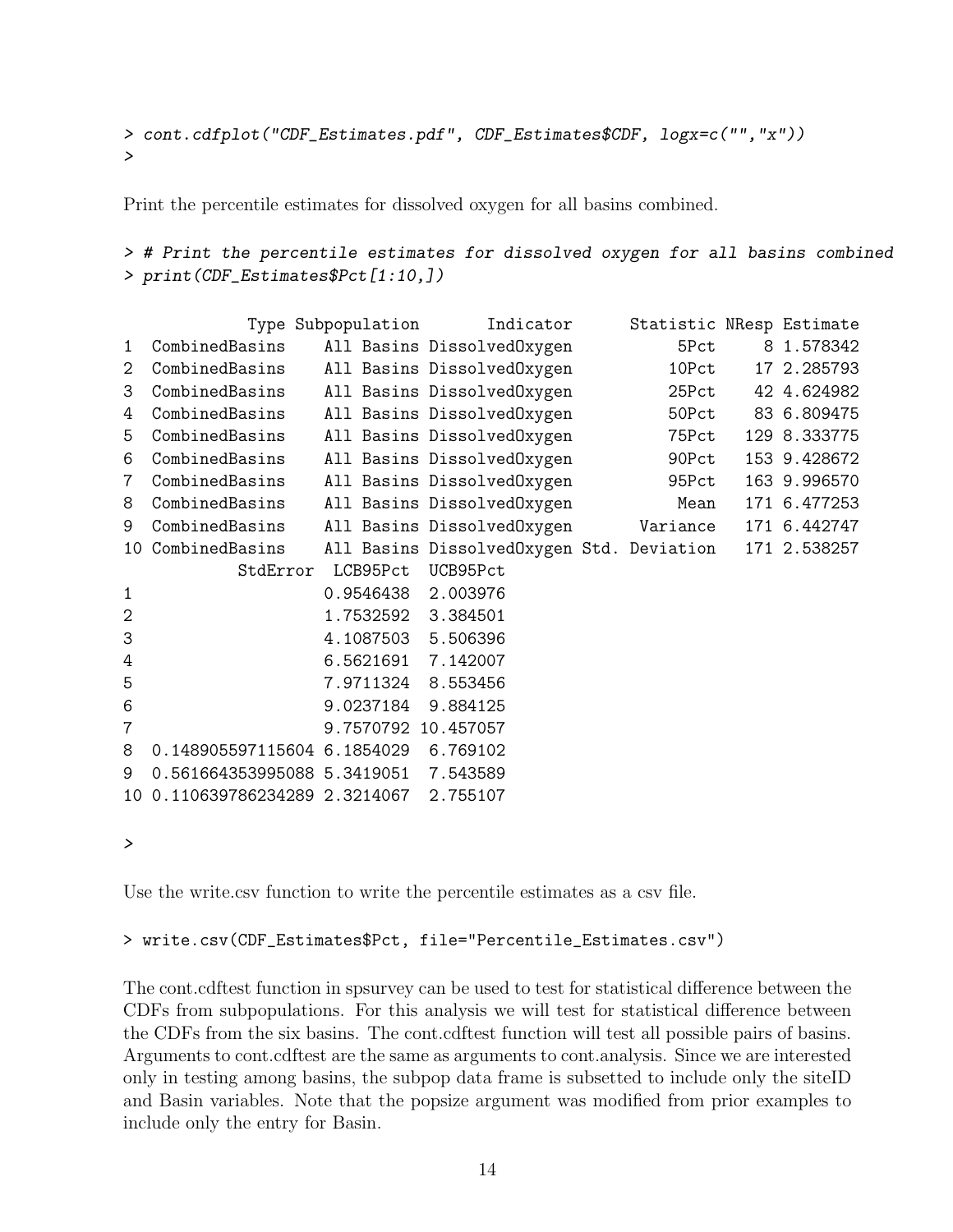```
> cont.cdfplot("CDF_Estimates.pdf", CDF_Estimates$CDF, logx=c("","x"))
>
```
Print the percentile estimates for dissolved oxygen for all basins combined.

```
> # Print the percentile estimates for dissolved oxygen for all basins combined
> print(CDF_Estimates$Pct[1:10,])
```

|                | Type Subpopulation                   |           | Indicator                                 | Statistic NResp Estimate |              |
|----------------|--------------------------------------|-----------|-------------------------------------------|--------------------------|--------------|
| $\mathbf{1}$   | CombinedBasins                       |           | All Basins DissolvedOxygen                | 5Pct                     | 8 1.578342   |
| 2              | CombinedBasins                       |           | All Basins DissolvedOxygen                | 10Pct                    | 17 2.285793  |
| 3              | CombinedBasins                       |           | All Basins DissolvedOxygen                | 25Pct                    | 42 4.624982  |
| 4              | CombinedBasins                       |           | All Basins DissolvedOxygen                | 50Pct                    | 83 6.809475  |
| 5              | CombinedBasins                       |           | All Basins DissolvedOxygen                | 75Pct                    | 129 8.333775 |
| 6              | CombinedBasins                       |           | All Basins DissolvedOxygen                | 90Pct                    | 153 9.428672 |
| $\overline{7}$ | CombinedBasins                       |           | All Basins DissolvedOxygen                | 95Pct                    | 163 9.996570 |
| 8              | CombinedBasins                       |           | All Basins DissolvedOxygen                | Mean                     | 171 6.477253 |
| 9              | CombinedBasins                       |           | All Basins DissolvedOxygen                | Variance                 | 171 6.442747 |
| 10             | CombinedBasins                       |           | All Basins DissolvedOxygen Std. Deviation |                          | 171 2.538257 |
|                | StdError                             | LCB95Pct  | UCB95Pct                                  |                          |              |
| 1              |                                      |           | 0.9546438 2.003976                        |                          |              |
| $\overline{2}$ |                                      |           | 1.7532592 3.384501                        |                          |              |
| 3              |                                      |           | 4.1087503 5.506396                        |                          |              |
| 4              |                                      |           | 6.5621691 7.142007                        |                          |              |
| 5              |                                      | 7.9711324 | 8.553456                                  |                          |              |
| 6              |                                      | 9.0237184 | 9.884125                                  |                          |              |
| 7              |                                      |           | 9.7570792 10.457057                       |                          |              |
| 8              | 0.148905597115604 6.1854029 6.769102 |           |                                           |                          |              |
| 9              | 0.561664353995088 5.3419051 7.543589 |           |                                           |                          |              |
| 10             | 0.110639786234289 2.3214067          |           | 2.755107                                  |                          |              |
|                |                                      |           |                                           |                          |              |

*>*

Use the write.csv function to write the percentile estimates as a csv file.

#### > write.csv(CDF\_Estimates\$Pct, file="Percentile\_Estimates.csv")

The cont.cdftest function in spsurvey can be used to test for statistical difference between the CDFs from subpopulations. For this analysis we will test for statistical difference between the CDFs from the six basins. The cont.cdftest function will test all possible pairs of basins. Arguments to cont.cdftest are the same as arguments to cont.analysis. Since we are interested only in testing among basins, the subpop data frame is subsetted to include only the siteID and Basin variables. Note that the popsize argument was modified from prior examples to include only the entry for Basin.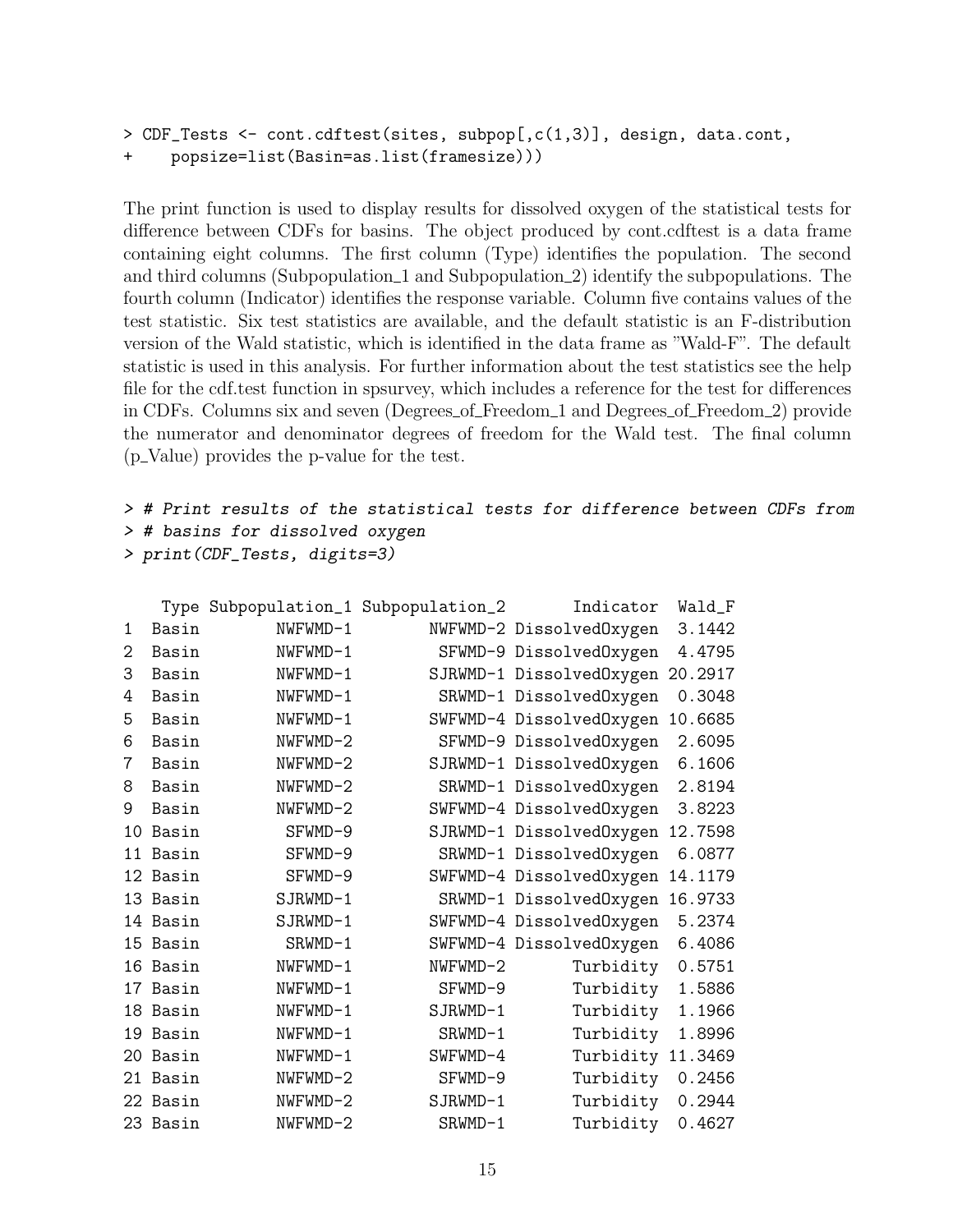```
> CDF_Tests <- cont.cdftest(sites, subpop[,c(1,3)], design, data.cont,
+ popsize=list(Basin=as.list(framesize)))
```
The print function is used to display results for dissolved oxygen of the statistical tests for difference between CDFs for basins. The object produced by cont.cdftest is a data frame containing eight columns. The first column (Type) identifies the population. The second and third columns (Subpopulation 1 and Subpopulation 2) identify the subpopulations. The fourth column (Indicator) identifies the response variable. Column five contains values of the test statistic. Six test statistics are available, and the default statistic is an F-distribution version of the Wald statistic, which is identified in the data frame as "Wald-F". The default statistic is used in this analysis. For further information about the test statistics see the help file for the cdf.test function in spsurvey, which includes a reference for the test for differences in CDFs. Columns six and seven (Degrees of Freedom 1 and Degrees of Freedom 2) provide the numerator and denominator degrees of freedom for the Wald test. The final column  $(p_{\text{1}}\text{Value})$  provides the p-value for the test.

*> # Print results of the statistical tests for difference between CDFs from > # basins for dissolved oxygen*

```
> print(CDF_Tests, digits=3)
```

|                 |          | Type Subpopulation_1 Subpopulation_2 |           | Indicator                | Wald_F  |
|-----------------|----------|--------------------------------------|-----------|--------------------------|---------|
| 1               | Basin    | NWFWMD-1                             |           | NWFWMD-2 DissolvedOxygen | 3.1442  |
| 2               | Basin    | NWFWMD-1                             |           | SFWMD-9 DissolvedOxygen  | 4.4795  |
| 3               | Basin    | NWFWMD-1                             |           | SJRWMD-1 DissolvedOxygen | 20.2917 |
| 4               | Basin    | NWFWMD-1                             |           | SRWMD-1 DissolvedOxygen  | 0.3048  |
| 5               | Basin    | NWFWMD-1                             |           | SWFWMD-4 DissolvedOxygen | 10.6685 |
| 6               | Basin    | NWFWMD-2                             |           | SFWMD-9 DissolvedOxygen  | 2.6095  |
| 7               | Basin    | NWFWMD-2                             |           | SJRWMD-1 DissolvedOxygen | 6.1606  |
| 8               | Basin    | NWFWMD-2                             |           | SRWMD-1 DissolvedOxygen  | 2.8194  |
| 9               | Basin    | NWFWMD-2                             |           | SWFWMD-4 DissolvedOxygen | 3.8223  |
| 10              | Basin    | SFWMD-9                              |           | SJRWMD-1 DissolvedOxygen | 12.7598 |
| 11              | Basin    | SFWMD-9                              |           | SRWMD-1 DissolvedOxygen  | 6.0877  |
| 12 <sub>1</sub> | Basin    | SFWMD-9                              |           | SWFWMD-4 DissolvedOxygen | 14.1179 |
| 13              | Basin    | $SJRWMD-1$                           |           | SRWMD-1 DissolvedOxygen  | 16.9733 |
| 14              | Basin    | SJRWMD-1                             |           | SWFWMD-4 DissolvedOxygen | 5.2374  |
| 15              | Basin    | SRWMD-1                              |           | SWFWMD-4 DissolvedOxygen | 6.4086  |
| 16              | Basin    | NWFWMD-1                             | NWFWMD-2  | Turbidity                | 0.5751  |
| 17              | Basin    | NWFWMD-1                             | SFWMD-9   | Turbidity                | 1.5886  |
| 18              | Basin    | NWFWMD-1                             | SJRWMD-1  | Turbidity                | 1.1966  |
| 19              | Basin    | NWFWMD-1                             | $SRWMD-1$ | Turbidity                | 1.8996  |
| 20              | Basin    | NWFWMD-1                             | SWFWMD-4  | Turbidity                | 11.3469 |
| 21              | Basin    | NWFWMD-2                             | SFWMD-9   | Turbidity                | 0.2456  |
|                 | 22 Basin | NWFWMD-2                             | SJRWMD-1  | Turbidity                | 0.2944  |
|                 | 23 Basin | NWFWMD-2                             | SRWMD-1   | Turbidity                | 0.4627  |